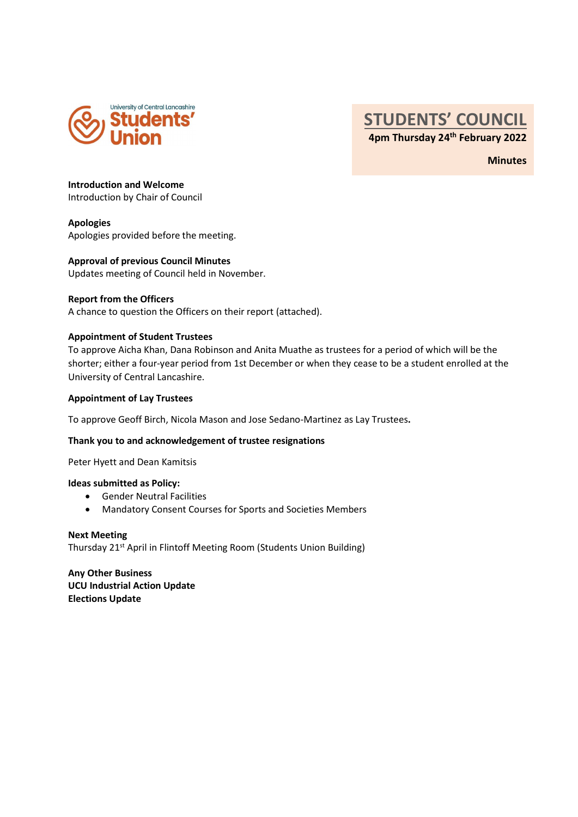

## STUDENTS' COUNCIL 4pm Thursday 24th February 2022

**Minutes** 

Introduction and Welcome

Introduction by Chair of Council

#### Apologies

Apologies provided before the meeting.

#### Approval of previous Council Minutes

Updates meeting of Council held in November.

#### Report from the Officers

A chance to question the Officers on their report (attached).

#### Appointment of Student Trustees

To approve Aicha Khan, Dana Robinson and Anita Muathe as trustees for a period of which will be the shorter; either a four-year period from 1st December or when they cease to be a student enrolled at the University of Central Lancashire.

#### Appointment of Lay Trustees

To approve Geoff Birch, Nicola Mason and Jose Sedano-Martinez as Lay Trustees. Thank you to and acknowledgement of trustee resignations

Peter Hyett and Dean Kamitsis

#### Ideas submitted as Policy:

- Gender Neutral Facilities
- Mandatory Consent Courses for Sports and Societies Members

Next Meeting Thursday 21<sup>st</sup> April in Flintoff Meeting Room (Students Union Building)

Any Other Business UCU Industrial Action Update Elections Update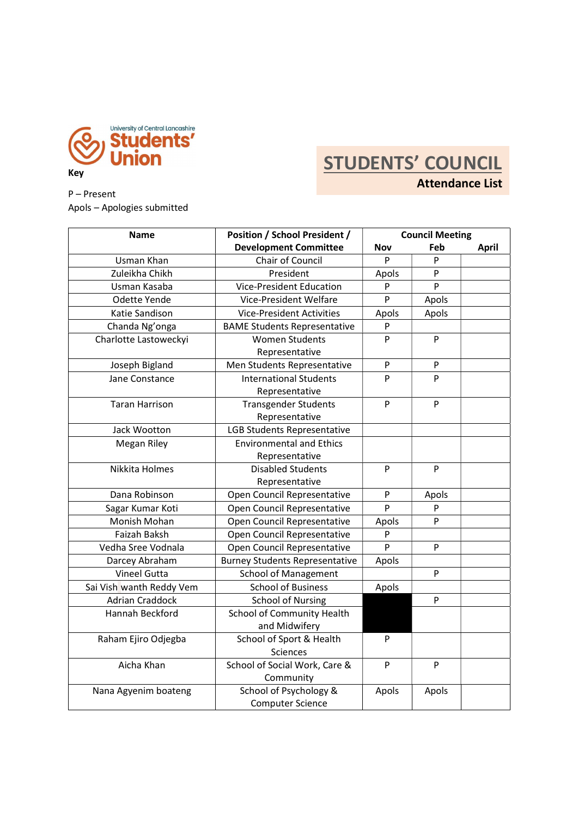

# **STUDENTS' COUNCIL**

P – Present Apols – Apologies submitted Attendance List

| <b>Name</b>              | <b>Position / School President /</b>              | <b>Council Meeting</b><br><b>Nov</b><br>Feb<br><b>April</b> |           |  |
|--------------------------|---------------------------------------------------|-------------------------------------------------------------|-----------|--|
|                          | <b>Development Committee</b>                      |                                                             |           |  |
| Usman Khan               | Chair of Council                                  | P                                                           | P         |  |
| Zuleikha Chikh           | President                                         | Apols                                                       | P         |  |
| Usman Kasaba             | <b>Vice-President Education</b>                   | P                                                           | P         |  |
| Odette Yende             | Vice-President Welfare                            | P                                                           | Apols     |  |
| Katie Sandison           | <b>Vice-President Activities</b>                  | Apols                                                       | Apols     |  |
| Chanda Ng'onga           | <b>BAME Students Representative</b>               | P                                                           |           |  |
| Charlotte Lastoweckyi    | <b>Women Students</b>                             | P                                                           | P         |  |
|                          | Representative                                    |                                                             |           |  |
| Joseph Bigland           | Men Students Representative                       | P                                                           | P         |  |
| Jane Constance           | <b>International Students</b>                     | P                                                           | P         |  |
|                          | Representative                                    |                                                             |           |  |
| <b>Taran Harrison</b>    | <b>Transgender Students</b>                       | P                                                           | P         |  |
|                          | Representative                                    |                                                             |           |  |
| Jack Wootton             | LGB Students Representative                       |                                                             |           |  |
| Megan Riley              | <b>Environmental and Ethics</b>                   |                                                             |           |  |
|                          | Representative                                    |                                                             |           |  |
| Nikkita Holmes           | <b>Disabled Students</b>                          | P                                                           | P         |  |
|                          | Representative                                    |                                                             |           |  |
| Dana Robinson            | Open Council Representative                       | P                                                           | Apols     |  |
| Sagar Kumar Koti         | Open Council Representative                       | P                                                           | P         |  |
| Monish Mohan             | Open Council Representative                       | Apols                                                       | P         |  |
| Faizah Baksh             | Open Council Representative                       | P                                                           |           |  |
| Vedha Sree Vodnala       | Open Council Representative                       | P                                                           | P         |  |
| Darcey Abraham           | <b>Burney Students Representative</b>             | Apols                                                       |           |  |
| Vineel Gutta             | <b>School of Management</b>                       |                                                             | ${\sf P}$ |  |
| Sai Vish wanth Reddy Vem | <b>School of Business</b>                         | Apols                                                       |           |  |
| <b>Adrian Craddock</b>   | <b>School of Nursing</b>                          |                                                             | P         |  |
| Hannah Beckford          | School of Community Health                        |                                                             |           |  |
|                          | and Midwifery                                     |                                                             |           |  |
| Raham Ejiro Odjegba      | School of Sport & Health                          | P                                                           |           |  |
|                          | Sciences                                          |                                                             |           |  |
| Aicha Khan               | School of Social Work, Care &                     | P                                                           | P         |  |
|                          | Community                                         |                                                             |           |  |
| Nana Agyenim boateng     | School of Psychology &<br><b>Computer Science</b> | Apols                                                       | Apols     |  |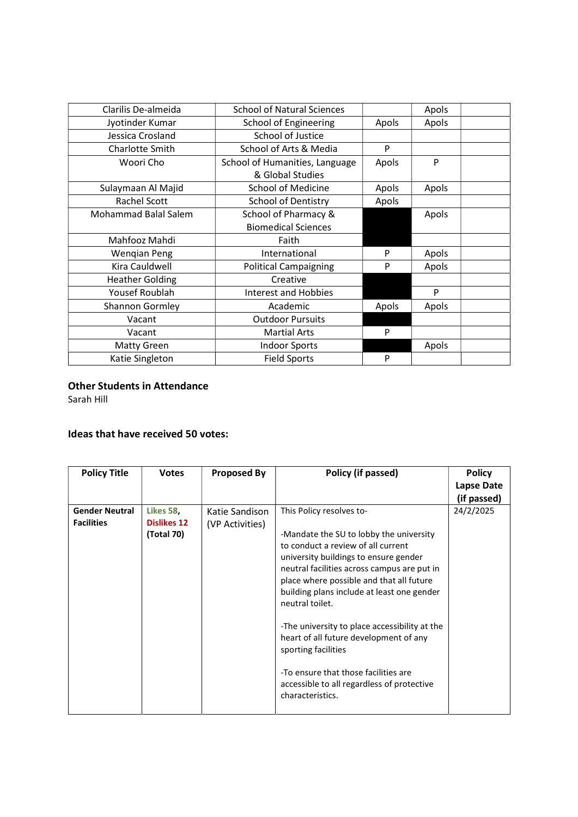| Clarilis De-almeida         | <b>School of Natural Sciences</b> |       | Apols |  |
|-----------------------------|-----------------------------------|-------|-------|--|
| Jyotinder Kumar             | School of Engineering             | Apols | Apols |  |
| Jessica Crosland            | School of Justice                 |       |       |  |
| Charlotte Smith             | School of Arts & Media            | P     |       |  |
| Woori Cho                   | School of Humanities, Language    | Apols | P     |  |
|                             | & Global Studies                  |       |       |  |
| Sulaymaan Al Majid          | <b>School of Medicine</b>         | Apols | Apols |  |
| Rachel Scott                | <b>School of Dentistry</b>        | Apols |       |  |
| <b>Mohammad Balal Salem</b> | School of Pharmacy &              |       | Apols |  |
|                             | <b>Biomedical Sciences</b>        |       |       |  |
| Mahfooz Mahdi               | Faith                             |       |       |  |
| <b>Wengian Peng</b>         | International                     | P     | Apols |  |
| Kira Cauldwell              | <b>Political Campaigning</b>      | P     | Apols |  |
| <b>Heather Golding</b>      | Creative                          |       |       |  |
| Yousef Roublah              | <b>Interest and Hobbies</b>       |       | P     |  |
| <b>Shannon Gormley</b>      | Academic                          | Apols | Apols |  |
| Vacant                      | <b>Outdoor Pursuits</b>           |       |       |  |
| Vacant                      | <b>Martial Arts</b>               | P     |       |  |
| Matty Green                 | <b>Indoor Sports</b>              |       | Apols |  |
| Katie Singleton             | <b>Field Sports</b>               | P     |       |  |
|                             |                                   |       |       |  |

#### Other Students in Attendance

Sarah Hill

#### Ideas that have received 50 votes:

| <b>Policy Title</b>                        | <b>Votes</b>                                  | <b>Proposed By</b>                | Policy (if passed)                                                                                                                                                                                                                                                                                                                                                                                                                                                                                                                         | <b>Policy</b><br>Lapse Date<br>(if passed) |
|--------------------------------------------|-----------------------------------------------|-----------------------------------|--------------------------------------------------------------------------------------------------------------------------------------------------------------------------------------------------------------------------------------------------------------------------------------------------------------------------------------------------------------------------------------------------------------------------------------------------------------------------------------------------------------------------------------------|--------------------------------------------|
| <b>Gender Neutral</b><br><b>Facilities</b> | Likes 58,<br><b>Dislikes 12</b><br>(Total 70) | Katie Sandison<br>(VP Activities) | This Policy resolves to-<br>-Mandate the SU to lobby the university<br>to conduct a review of all current<br>university buildings to ensure gender<br>neutral facilities across campus are put in<br>place where possible and that all future<br>building plans include at least one gender<br>neutral toilet.<br>-The university to place accessibility at the<br>heart of all future development of any<br>sporting facilities<br>-To ensure that those facilities are<br>accessible to all regardless of protective<br>characteristics. | 24/2/2025                                  |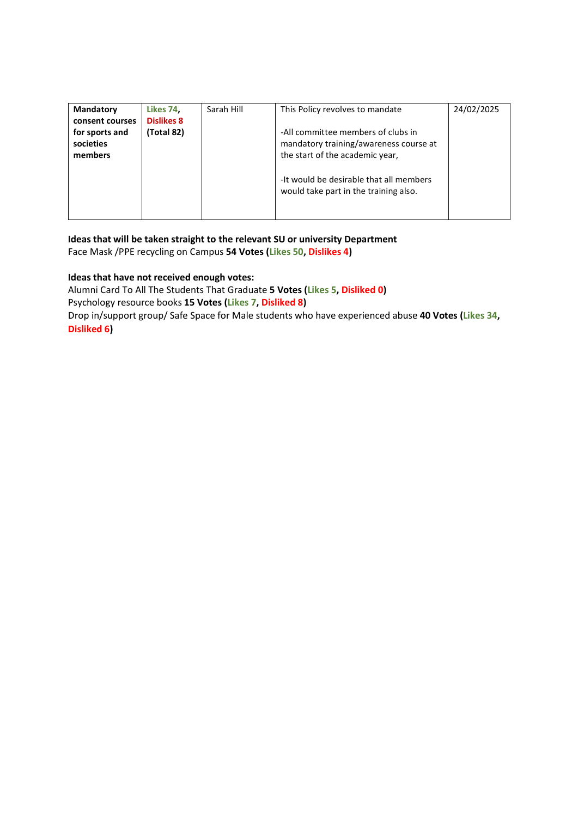| Mandatory       | Likes 74,         | Sarah Hill | This Policy revolves to mandate         | 24/02/2025 |
|-----------------|-------------------|------------|-----------------------------------------|------------|
| consent courses | <b>Dislikes 8</b> |            |                                         |            |
| for sports and  | (Total 82)        |            | -All committee members of clubs in      |            |
| societies       |                   |            | mandatory training/awareness course at  |            |
| members         |                   |            | the start of the academic year,         |            |
|                 |                   |            |                                         |            |
|                 |                   |            | -It would be desirable that all members |            |
|                 |                   |            | would take part in the training also.   |            |
|                 |                   |            |                                         |            |
|                 |                   |            |                                         |            |

Ideas that will be taken straight to the relevant SU or university Department Face Mask /PPE recycling on Campus 54 Votes (Likes 50, Dislikes 4)

#### Ideas that have not received enough votes:

Alumni Card To All The Students That Graduate 5 Votes (Likes 5, Disliked 0) Psychology resource books 15 Votes (Likes 7, Disliked 8) Drop in/support group/ Safe Space for Male students who have experienced abuse 40 Votes (Likes 34, Disliked 6)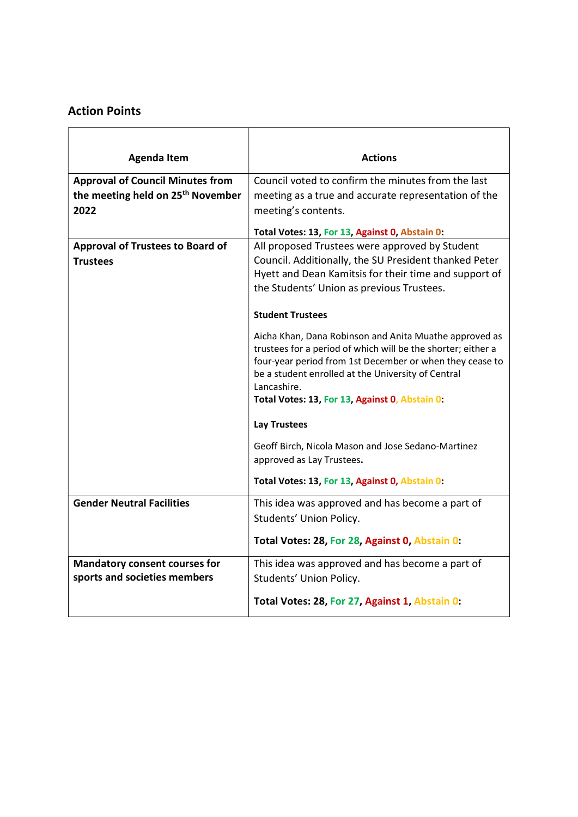### Action Points

| <b>Agenda Item</b>                            | <b>Actions</b>                                                                                                                                                                                                                                                                                            |
|-----------------------------------------------|-----------------------------------------------------------------------------------------------------------------------------------------------------------------------------------------------------------------------------------------------------------------------------------------------------------|
| <b>Approval of Council Minutes from</b>       | Council voted to confirm the minutes from the last                                                                                                                                                                                                                                                        |
| the meeting held on 25 <sup>th</sup> November | meeting as a true and accurate representation of the                                                                                                                                                                                                                                                      |
| 2022                                          | meeting's contents.                                                                                                                                                                                                                                                                                       |
|                                               | Total Votes: 13, For 13, Against 0, Abstain 0:                                                                                                                                                                                                                                                            |
| <b>Approval of Trustees to Board of</b>       | All proposed Trustees were approved by Student                                                                                                                                                                                                                                                            |
| <b>Trustees</b>                               | Council. Additionally, the SU President thanked Peter                                                                                                                                                                                                                                                     |
|                                               | Hyett and Dean Kamitsis for their time and support of                                                                                                                                                                                                                                                     |
|                                               | the Students' Union as previous Trustees.                                                                                                                                                                                                                                                                 |
|                                               | <b>Student Trustees</b>                                                                                                                                                                                                                                                                                   |
|                                               | Aicha Khan, Dana Robinson and Anita Muathe approved as<br>trustees for a period of which will be the shorter; either a<br>four-year period from 1st December or when they cease to<br>be a student enrolled at the University of Central<br>Lancashire.<br>Total Votes: 13, For 13, Against 0, Abstain 0: |
|                                               | <b>Lay Trustees</b>                                                                                                                                                                                                                                                                                       |
|                                               | Geoff Birch, Nicola Mason and Jose Sedano-Martinez<br>approved as Lay Trustees.                                                                                                                                                                                                                           |
|                                               | Total Votes: 13, For 13, Against 0, Abstain 0:                                                                                                                                                                                                                                                            |
| <b>Gender Neutral Facilities</b>              | This idea was approved and has become a part of                                                                                                                                                                                                                                                           |
|                                               | Students' Union Policy.                                                                                                                                                                                                                                                                                   |
|                                               | Total Votes: 28, For 28, Against 0, Abstain 0:                                                                                                                                                                                                                                                            |
| <b>Mandatory consent courses for</b>          | This idea was approved and has become a part of                                                                                                                                                                                                                                                           |
| sports and societies members                  | Students' Union Policy.                                                                                                                                                                                                                                                                                   |
|                                               | Total Votes: 28, For 27, Against 1, Abstain 0:                                                                                                                                                                                                                                                            |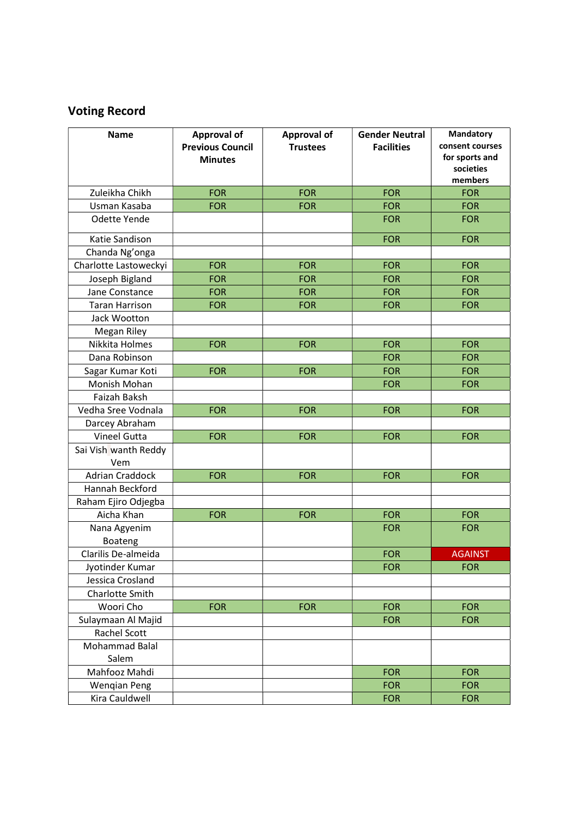# Voting Record

| <b>Name</b>                 | <b>Approval of</b><br><b>Previous Council</b><br><b>Minutes</b> | <b>Approval of</b><br><b>Trustees</b> | <b>Gender Neutral</b><br><b>Facilities</b> | Mandatory<br>consent courses<br>for sports and<br>societies<br>members |
|-----------------------------|-----------------------------------------------------------------|---------------------------------------|--------------------------------------------|------------------------------------------------------------------------|
| Zuleikha Chikh              | <b>FOR</b>                                                      | <b>FOR</b>                            | <b>FOR</b>                                 | <b>FOR</b>                                                             |
| Usman Kasaba                | <b>FOR</b>                                                      | <b>FOR</b>                            | <b>FOR</b>                                 | <b>FOR</b>                                                             |
| Odette Yende                |                                                                 |                                       | <b>FOR</b>                                 | <b>FOR</b>                                                             |
| Katie Sandison              |                                                                 |                                       | <b>FOR</b>                                 | <b>FOR</b>                                                             |
| Chanda Ng'onga              |                                                                 |                                       |                                            |                                                                        |
| Charlotte Lastoweckyi       | <b>FOR</b>                                                      | <b>FOR</b>                            | <b>FOR</b>                                 | <b>FOR</b>                                                             |
| Joseph Bigland              | <b>FOR</b>                                                      | <b>FOR</b>                            | <b>FOR</b>                                 | <b>FOR</b>                                                             |
| Jane Constance              | <b>FOR</b>                                                      | <b>FOR</b>                            | <b>FOR</b>                                 | <b>FOR</b>                                                             |
| <b>Taran Harrison</b>       | <b>FOR</b>                                                      | <b>FOR</b>                            | <b>FOR</b>                                 | <b>FOR</b>                                                             |
| Jack Wootton                |                                                                 |                                       |                                            |                                                                        |
| Megan Riley                 |                                                                 |                                       |                                            |                                                                        |
| Nikkita Holmes              | <b>FOR</b>                                                      | <b>FOR</b>                            | <b>FOR</b>                                 | <b>FOR</b>                                                             |
| Dana Robinson               |                                                                 |                                       | <b>FOR</b>                                 | <b>FOR</b>                                                             |
| Sagar Kumar Koti            | <b>FOR</b>                                                      | <b>FOR</b>                            | <b>FOR</b>                                 | <b>FOR</b>                                                             |
| Monish Mohan                |                                                                 |                                       | <b>FOR</b>                                 | <b>FOR</b>                                                             |
| Faizah Baksh                |                                                                 |                                       |                                            |                                                                        |
| Vedha Sree Vodnala          | <b>FOR</b>                                                      | <b>FOR</b>                            | <b>FOR</b>                                 | <b>FOR</b>                                                             |
| Darcey Abraham              |                                                                 |                                       |                                            |                                                                        |
| Vineel Gutta                | <b>FOR</b>                                                      | <b>FOR</b>                            | <b>FOR</b>                                 | <b>FOR</b>                                                             |
| Sai Vish wanth Reddy<br>Vem |                                                                 |                                       |                                            |                                                                        |
| <b>Adrian Craddock</b>      | <b>FOR</b>                                                      | <b>FOR</b>                            | <b>FOR</b>                                 | <b>FOR</b>                                                             |
| Hannah Beckford             |                                                                 |                                       |                                            |                                                                        |
| Raham Ejiro Odjegba         |                                                                 |                                       |                                            |                                                                        |
| Aicha Khan                  | <b>FOR</b>                                                      | <b>FOR</b>                            | <b>FOR</b>                                 | <b>FOR</b>                                                             |
| Nana Agyenim<br>Boateng     |                                                                 |                                       | <b>FOR</b>                                 | <b>FOR</b>                                                             |
| Clarilis De-almeida         |                                                                 |                                       | <b>FOR</b>                                 | <b>AGAINST</b>                                                         |
| Jyotinder Kumar             |                                                                 |                                       | <b>FOR</b>                                 | <b>FOR</b>                                                             |
| Jessica Crosland            |                                                                 |                                       |                                            |                                                                        |
| Charlotte Smith             |                                                                 |                                       |                                            |                                                                        |
| Woori Cho                   | <b>FOR</b>                                                      | <b>FOR</b>                            | <b>FOR</b>                                 | <b>FOR</b>                                                             |
| Sulaymaan Al Majid          |                                                                 |                                       | <b>FOR</b>                                 | <b>FOR</b>                                                             |
| Rachel Scott                |                                                                 |                                       |                                            |                                                                        |
| Mohammad Balal<br>Salem     |                                                                 |                                       |                                            |                                                                        |
| Mahfooz Mahdi               |                                                                 |                                       | <b>FOR</b>                                 | <b>FOR</b>                                                             |
| <b>Wengian Peng</b>         |                                                                 |                                       | <b>FOR</b>                                 | <b>FOR</b>                                                             |
| Kira Cauldwell              |                                                                 |                                       | <b>FOR</b>                                 | <b>FOR</b>                                                             |